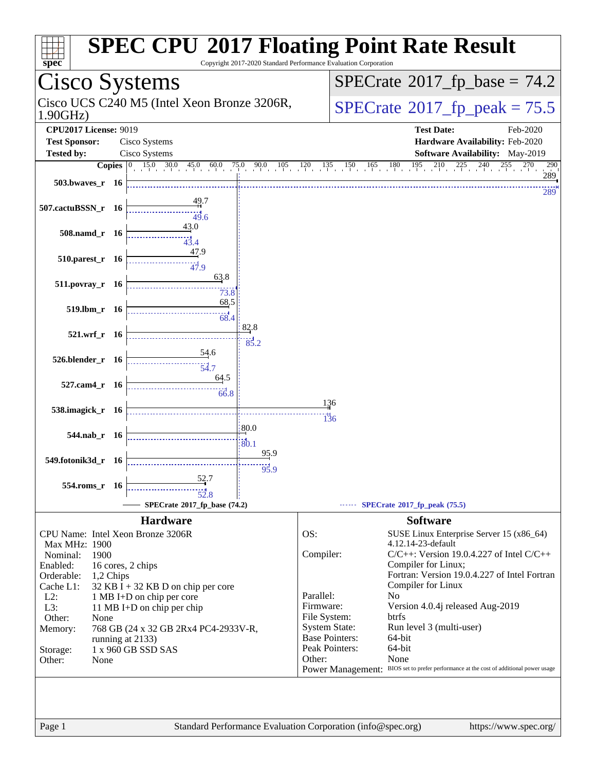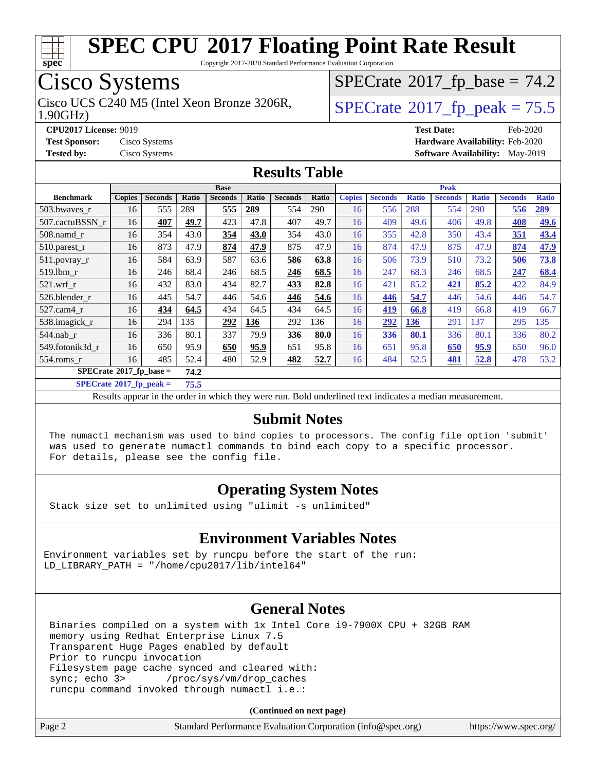

Copyright 2017-2020 Standard Performance Evaluation Corporation

### Cisco Systems

Cisco UCS C240 M5 (Intel Xeon Bronze 3206R,  $\vert$ [SPECrate](http://www.spec.org/auto/cpu2017/Docs/result-fields.html#SPECrate2017fppeak)<sup>®</sup>[2017\\_fp\\_peak = 7](http://www.spec.org/auto/cpu2017/Docs/result-fields.html#SPECrate2017fppeak)5.5

 $SPECrate$ <sup>®</sup>[2017\\_fp\\_base =](http://www.spec.org/auto/cpu2017/Docs/result-fields.html#SPECrate2017fpbase) 74.2

1.90GHz)

**[CPU2017 License:](http://www.spec.org/auto/cpu2017/Docs/result-fields.html#CPU2017License)** 9019 **[Test Date:](http://www.spec.org/auto/cpu2017/Docs/result-fields.html#TestDate)** Feb-2020

**[Test Sponsor:](http://www.spec.org/auto/cpu2017/Docs/result-fields.html#TestSponsor)** Cisco Systems **[Hardware Availability:](http://www.spec.org/auto/cpu2017/Docs/result-fields.html#HardwareAvailability)** Feb-2020 **[Tested by:](http://www.spec.org/auto/cpu2017/Docs/result-fields.html#Testedby)** Cisco Systems **[Software Availability:](http://www.spec.org/auto/cpu2017/Docs/result-fields.html#SoftwareAvailability)** May-2019

#### **[Results Table](http://www.spec.org/auto/cpu2017/Docs/result-fields.html#ResultsTable)**

|                                          | <b>Base</b>   |                |       |                |       | <b>Peak</b>    |       |               |                |              |                |              |                |              |
|------------------------------------------|---------------|----------------|-------|----------------|-------|----------------|-------|---------------|----------------|--------------|----------------|--------------|----------------|--------------|
| <b>Benchmark</b>                         | <b>Copies</b> | <b>Seconds</b> | Ratio | <b>Seconds</b> | Ratio | <b>Seconds</b> | Ratio | <b>Copies</b> | <b>Seconds</b> | <b>Ratio</b> | <b>Seconds</b> | <b>Ratio</b> | <b>Seconds</b> | <b>Ratio</b> |
| 503.bwayes r                             | 16            | 555            | 289   | 555            | 289   | 554            | 290   | 16            | 556            | 288          | 554            | 290          | 556            | <u>289</u>   |
| 507.cactuBSSN r                          | 16            | 407            | 49.7  | 423            | 47.8  | 407            | 49.7  | 16            | 409            | 49.6         | 406            | 49.8         | 408            | 49.6         |
| $508$ .namd $r$                          | 16            | 354            | 43.0  | 354            | 43.0  | 354            | 43.0  | 16            | 355            | 42.8         | 350            | 43.4         | 351            | 43.4         |
| 510.parest_r                             | 16            | 873            | 47.9  | 874            | 47.9  | 875            | 47.9  | 16            | 874            | 47.9         | 875            | 47.9         | 874            | 47.9         |
| 511.povray_r                             | 16            | 584            | 63.9  | 587            | 63.6  | 586            | 63.8  | 16            | 506            | 73.9         | 510            | 73.2         | 506            | 73.8         |
| 519.lbm_r                                | 16            | 246            | 68.4  | 246            | 68.5  | 246            | 68.5  | 16            | 247            | 68.3         | 246            | 68.5         | 247            | 68.4         |
| $521.wrf_r$                              | 16            | 432            | 83.0  | 434            | 82.7  | 433            | 82.8  | 16            | 421            | 85.2         | 421            | 85.2         | 422            | 84.9         |
| 526.blender r                            | 16            | 445            | 54.7  | 446            | 54.6  | 446            | 54.6  | 16            | 446            | 54.7         | 446            | 54.6         | 446            | 54.7         |
| 527.cam4 r                               | 16            | 434            | 64.5  | 434            | 64.5  | 434            | 64.5  | 16            | 419            | 66.8         | 419            | 66.8         | 419            | 66.7         |
| 538.imagick_r                            | 16            | 294            | 135   | 292            | 136   | 292            | 136   | 16            | 292            | 136          | 291            | 137          | 295            | 135          |
| $544$ .nab_r                             | 16            | 336            | 80.1  | 337            | 79.9  | 336            | 80.0  | 16            | 336            | 80.1         | 336            | 80.1         | 336            | 80.2         |
| 549.fotonik3d r                          | 16            | 650            | 95.9  | 650            | 95.9  | 651            | 95.8  | 16            | 651            | 95.8         | 650            | 95.9         | 650            | 96.0         |
| 554.roms r                               | 16            | 485            | 52.4  | 480            | 52.9  | 482            | 52.7  | 16            | 484            | 52.5         | 481            | 52.8         | 478            | 53.2         |
| $SPECrate^{\circ}2017$ fp base =<br>74.2 |               |                |       |                |       |                |       |               |                |              |                |              |                |              |

**[SPECrate](http://www.spec.org/auto/cpu2017/Docs/result-fields.html#SPECrate2017fppeak)[2017\\_fp\\_peak =](http://www.spec.org/auto/cpu2017/Docs/result-fields.html#SPECrate2017fppeak) 75.5**

Results appear in the [order in which they were run.](http://www.spec.org/auto/cpu2017/Docs/result-fields.html#RunOrder) Bold underlined text [indicates a median measurement.](http://www.spec.org/auto/cpu2017/Docs/result-fields.html#Median)

#### **[Submit Notes](http://www.spec.org/auto/cpu2017/Docs/result-fields.html#SubmitNotes)**

 The numactl mechanism was used to bind copies to processors. The config file option 'submit' was used to generate numactl commands to bind each copy to a specific processor. For details, please see the config file.

### **[Operating System Notes](http://www.spec.org/auto/cpu2017/Docs/result-fields.html#OperatingSystemNotes)**

Stack size set to unlimited using "ulimit -s unlimited"

### **[Environment Variables Notes](http://www.spec.org/auto/cpu2017/Docs/result-fields.html#EnvironmentVariablesNotes)**

Environment variables set by runcpu before the start of the run: LD\_LIBRARY\_PATH = "/home/cpu2017/lib/intel64"

### **[General Notes](http://www.spec.org/auto/cpu2017/Docs/result-fields.html#GeneralNotes)**

 Binaries compiled on a system with 1x Intel Core i9-7900X CPU + 32GB RAM memory using Redhat Enterprise Linux 7.5 Transparent Huge Pages enabled by default Prior to runcpu invocation Filesystem page cache synced and cleared with: sync; echo 3> /proc/sys/vm/drop\_caches runcpu command invoked through numactl i.e.:

**(Continued on next page)**

| Page 2<br>Standard Performance Evaluation Corporation (info@spec.org)<br>https://www.spec.org/ |
|------------------------------------------------------------------------------------------------|
|------------------------------------------------------------------------------------------------|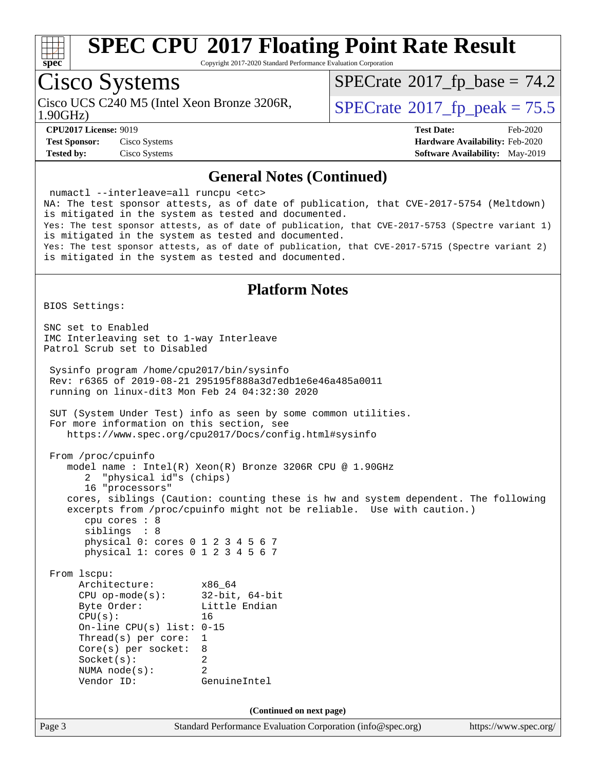

Copyright 2017-2020 Standard Performance Evaluation Corporation

### Cisco Systems

Cisco UCS C240 M5 (Intel Xeon Bronze 3206R, 1.90GHz)

 $SPECTate@2017_fp\_base = 74.2$ 

 $SPECTate@2017_fp\_peak = 75.5$ 

**[Test Sponsor:](http://www.spec.org/auto/cpu2017/Docs/result-fields.html#TestSponsor)** Cisco Systems **[Hardware Availability:](http://www.spec.org/auto/cpu2017/Docs/result-fields.html#HardwareAvailability)** Feb-2020 **[Tested by:](http://www.spec.org/auto/cpu2017/Docs/result-fields.html#Testedby)** Cisco Systems **[Software Availability:](http://www.spec.org/auto/cpu2017/Docs/result-fields.html#SoftwareAvailability)** May-2019

**[CPU2017 License:](http://www.spec.org/auto/cpu2017/Docs/result-fields.html#CPU2017License)** 9019 **[Test Date:](http://www.spec.org/auto/cpu2017/Docs/result-fields.html#TestDate)** Feb-2020

#### **[General Notes \(Continued\)](http://www.spec.org/auto/cpu2017/Docs/result-fields.html#GeneralNotes)**

 numactl --interleave=all runcpu <etc> NA: The test sponsor attests, as of date of publication, that CVE-2017-5754 (Meltdown) is mitigated in the system as tested and documented. Yes: The test sponsor attests, as of date of publication, that CVE-2017-5753 (Spectre variant 1) is mitigated in the system as tested and documented. Yes: The test sponsor attests, as of date of publication, that CVE-2017-5715 (Spectre variant 2) is mitigated in the system as tested and documented. **[Platform Notes](http://www.spec.org/auto/cpu2017/Docs/result-fields.html#PlatformNotes)** BIOS Settings: SNC set to Enabled IMC Interleaving set to 1-way Interleave Patrol Scrub set to Disabled Sysinfo program /home/cpu2017/bin/sysinfo Rev: r6365 of 2019-08-21 295195f888a3d7edb1e6e46a485a0011 running on linux-dit3 Mon Feb 24 04:32:30 2020

 SUT (System Under Test) info as seen by some common utilities. For more information on this section, see <https://www.spec.org/cpu2017/Docs/config.html#sysinfo>

```
 From /proc/cpuinfo
   model name : Intel(R) Xeon(R) Bronze 3206R CPU @ 1.90GHz
       2 "physical id"s (chips)
       16 "processors"
    cores, siblings (Caution: counting these is hw and system dependent. The following
    excerpts from /proc/cpuinfo might not be reliable. Use with caution.)
       cpu cores : 8
       siblings : 8
       physical 0: cores 0 1 2 3 4 5 6 7
       physical 1: cores 0 1 2 3 4 5 6 7
```
 From lscpu: Architecture: x86\_64 CPU op-mode(s): 32-bit, 64-bit Byte Order: Little Endian CPU(s): 16 On-line CPU(s) list: 0-15 Thread(s) per core: 1 Core(s) per socket: 8 Socket(s): 2 NUMA node(s): 2 Vendor ID: GenuineIntel

**(Continued on next page)**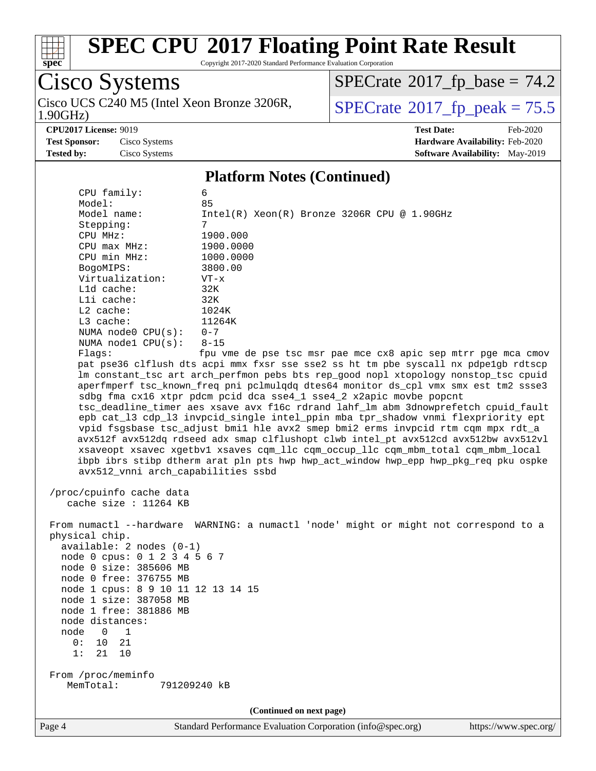

Copyright 2017-2020 Standard Performance Evaluation Corporation

Cisco Systems 1.90GHz) Cisco UCS C240 M5 (Intel Xeon Bronze 3206R,  $\overline{SPECrate}$  $\overline{SPECrate}$  $\overline{SPECrate}$ <sup>®</sup>[2017\\_fp\\_peak = 7](http://www.spec.org/auto/cpu2017/Docs/result-fields.html#SPECrate2017fppeak)5.5

 $SPECrate$ <sup>®</sup>[2017\\_fp\\_base =](http://www.spec.org/auto/cpu2017/Docs/result-fields.html#SPECrate2017fpbase) 74.2

**[CPU2017 License:](http://www.spec.org/auto/cpu2017/Docs/result-fields.html#CPU2017License)** 9019 **[Test Date:](http://www.spec.org/auto/cpu2017/Docs/result-fields.html#TestDate)** Feb-2020 **[Test Sponsor:](http://www.spec.org/auto/cpu2017/Docs/result-fields.html#TestSponsor)** Cisco Systems **[Hardware Availability:](http://www.spec.org/auto/cpu2017/Docs/result-fields.html#HardwareAvailability)** Feb-2020 **[Tested by:](http://www.spec.org/auto/cpu2017/Docs/result-fields.html#Testedby)** Cisco Systems **[Software Availability:](http://www.spec.org/auto/cpu2017/Docs/result-fields.html#SoftwareAvailability)** May-2019

#### **[Platform Notes \(Continued\)](http://www.spec.org/auto/cpu2017/Docs/result-fields.html#PlatformNotes)**

| CPU family:                                                                                                                                                                                                                                                                                                              | 6                                                                                                                                                                                                                                                                                                                                                                                                                                                                                                                                                                                                                                                                                                                                                                                 |
|--------------------------------------------------------------------------------------------------------------------------------------------------------------------------------------------------------------------------------------------------------------------------------------------------------------------------|-----------------------------------------------------------------------------------------------------------------------------------------------------------------------------------------------------------------------------------------------------------------------------------------------------------------------------------------------------------------------------------------------------------------------------------------------------------------------------------------------------------------------------------------------------------------------------------------------------------------------------------------------------------------------------------------------------------------------------------------------------------------------------------|
| Model:                                                                                                                                                                                                                                                                                                                   | 85                                                                                                                                                                                                                                                                                                                                                                                                                                                                                                                                                                                                                                                                                                                                                                                |
| Model name:                                                                                                                                                                                                                                                                                                              | $Intel(R) Xeon(R) Bronze 3206R CPU @ 1.90GHz$                                                                                                                                                                                                                                                                                                                                                                                                                                                                                                                                                                                                                                                                                                                                     |
| Stepping:                                                                                                                                                                                                                                                                                                                | 7                                                                                                                                                                                                                                                                                                                                                                                                                                                                                                                                                                                                                                                                                                                                                                                 |
| CPU MHz:                                                                                                                                                                                                                                                                                                                 | 1900.000                                                                                                                                                                                                                                                                                                                                                                                                                                                                                                                                                                                                                                                                                                                                                                          |
| CPU max MHz:<br>CPU min MHz:                                                                                                                                                                                                                                                                                             | 1900.0000<br>1000.0000                                                                                                                                                                                                                                                                                                                                                                                                                                                                                                                                                                                                                                                                                                                                                            |
|                                                                                                                                                                                                                                                                                                                          |                                                                                                                                                                                                                                                                                                                                                                                                                                                                                                                                                                                                                                                                                                                                                                                   |
| BogoMIPS:<br>Virtualization:                                                                                                                                                                                                                                                                                             | 3800.00                                                                                                                                                                                                                                                                                                                                                                                                                                                                                                                                                                                                                                                                                                                                                                           |
| Lld cache:                                                                                                                                                                                                                                                                                                               | $VT - x$<br>32K                                                                                                                                                                                                                                                                                                                                                                                                                                                                                                                                                                                                                                                                                                                                                                   |
| Lli cache:                                                                                                                                                                                                                                                                                                               | 32K                                                                                                                                                                                                                                                                                                                                                                                                                                                                                                                                                                                                                                                                                                                                                                               |
| L2 cache:                                                                                                                                                                                                                                                                                                                | 1024K                                                                                                                                                                                                                                                                                                                                                                                                                                                                                                                                                                                                                                                                                                                                                                             |
| L3 cache:                                                                                                                                                                                                                                                                                                                | 11264K                                                                                                                                                                                                                                                                                                                                                                                                                                                                                                                                                                                                                                                                                                                                                                            |
| NUMA $node0$ $CPU(s):$                                                                                                                                                                                                                                                                                                   | $0 - 7$                                                                                                                                                                                                                                                                                                                                                                                                                                                                                                                                                                                                                                                                                                                                                                           |
| NUMA $node1$ $CPU(s):$                                                                                                                                                                                                                                                                                                   | $8 - 15$                                                                                                                                                                                                                                                                                                                                                                                                                                                                                                                                                                                                                                                                                                                                                                          |
| Flags:                                                                                                                                                                                                                                                                                                                   | fpu vme de pse tsc msr pae mce cx8 apic sep mtrr pge mca cmov                                                                                                                                                                                                                                                                                                                                                                                                                                                                                                                                                                                                                                                                                                                     |
|                                                                                                                                                                                                                                                                                                                          | pat pse36 clflush dts acpi mmx fxsr sse sse2 ss ht tm pbe syscall nx pdpelgb rdtscp                                                                                                                                                                                                                                                                                                                                                                                                                                                                                                                                                                                                                                                                                               |
| avx512_vnni arch_capabilities ssbd                                                                                                                                                                                                                                                                                       | lm constant_tsc art arch_perfmon pebs bts rep_good nopl xtopology nonstop_tsc cpuid<br>aperfmperf tsc_known_freq pni pclmulqdq dtes64 monitor ds_cpl vmx smx est tm2 ssse3<br>sdbg fma cx16 xtpr pdcm pcid dca sse4_1 sse4_2 x2apic movbe popcnt<br>tsc_deadline_timer aes xsave avx f16c rdrand lahf_lm abm 3dnowprefetch cpuid_fault<br>epb cat_13 cdp_13 invpcid_single intel_ppin mba tpr_shadow vnmi flexpriority ept<br>vpid fsgsbase tsc_adjust bmil hle avx2 smep bmi2 erms invpcid rtm cqm mpx rdt_a<br>avx512f avx512dq rdseed adx smap clflushopt clwb intel_pt avx512cd avx512bw avx512vl<br>xsaveopt xsavec xgetbvl xsaves cqm_llc cqm_occup_llc cqm_mbm_total cqm_mbm_local<br>ibpb ibrs stibp dtherm arat pln pts hwp hwp_act_window hwp_epp hwp_pkg_req pku ospke |
| /proc/cpuinfo cache data<br>cache size : 11264 KB                                                                                                                                                                                                                                                                        |                                                                                                                                                                                                                                                                                                                                                                                                                                                                                                                                                                                                                                                                                                                                                                                   |
| physical chip.<br>$available: 2 nodes (0-1)$<br>node 0 cpus: 0 1 2 3 4 5 6 7<br>node 0 size: 385606 MB<br>node 0 free: 376755 MB<br>node 1 cpus: 8 9 10 11 12 13 14 15<br>node 1 size: 387058 MB<br>node 1 free: 381886 MB<br>node distances:<br>node<br>$\mathbf{1}$<br>$\mathbf 0$<br>0:<br>21<br>10<br>1:<br>21<br>10 | From numactl --hardware WARNING: a numactl 'node' might or might not correspond to a                                                                                                                                                                                                                                                                                                                                                                                                                                                                                                                                                                                                                                                                                              |
| From /proc/meminfo<br>MemTotal:<br>791209240 kB                                                                                                                                                                                                                                                                          |                                                                                                                                                                                                                                                                                                                                                                                                                                                                                                                                                                                                                                                                                                                                                                                   |
|                                                                                                                                                                                                                                                                                                                          | (Continued on next page)                                                                                                                                                                                                                                                                                                                                                                                                                                                                                                                                                                                                                                                                                                                                                          |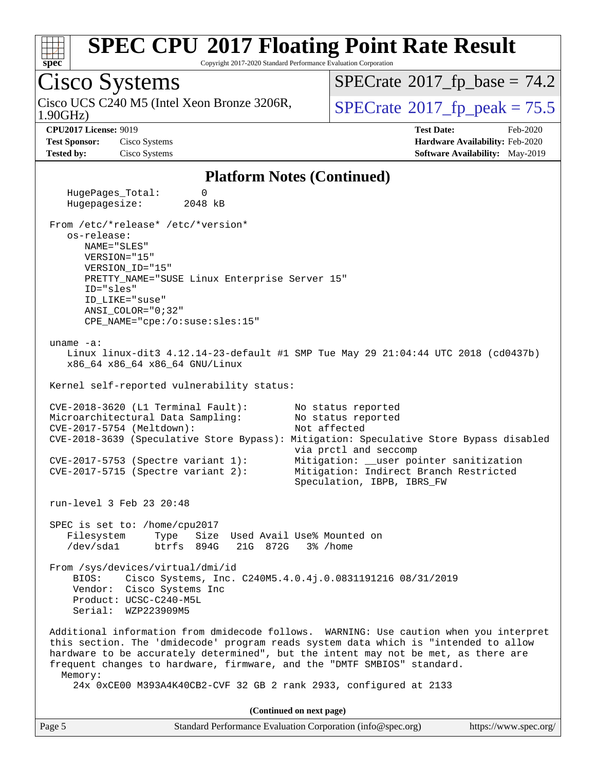

Copyright 2017-2020 Standard Performance Evaluation Corporation

### Cisco Systems

1.90GHz) Cisco UCS C240 M5 (Intel Xeon Bronze 3206R,  $\vert$  [SPECrate](http://www.spec.org/auto/cpu2017/Docs/result-fields.html#SPECrate2017fppeak)®[2017\\_fp\\_peak = 7](http://www.spec.org/auto/cpu2017/Docs/result-fields.html#SPECrate2017fppeak)5.5

 $SPECrate$ <sup>®</sup>[2017\\_fp\\_base =](http://www.spec.org/auto/cpu2017/Docs/result-fields.html#SPECrate2017fpbase) 74.2

**[Test Sponsor:](http://www.spec.org/auto/cpu2017/Docs/result-fields.html#TestSponsor)** Cisco Systems **[Hardware Availability:](http://www.spec.org/auto/cpu2017/Docs/result-fields.html#HardwareAvailability)** Feb-2020

**[CPU2017 License:](http://www.spec.org/auto/cpu2017/Docs/result-fields.html#CPU2017License)** 9019 **[Test Date:](http://www.spec.org/auto/cpu2017/Docs/result-fields.html#TestDate)** Feb-2020 **[Tested by:](http://www.spec.org/auto/cpu2017/Docs/result-fields.html#Testedby)** Cisco Systems **[Software Availability:](http://www.spec.org/auto/cpu2017/Docs/result-fields.html#SoftwareAvailability)** May-2019

#### **[Platform Notes \(Continued\)](http://www.spec.org/auto/cpu2017/Docs/result-fields.html#PlatformNotes)**

HugePages Total: 0 Hugepagesize: 2048 kB From /etc/\*release\* /etc/\*version\* os-release: NAME="SLES" VERSION="15" VERSION\_ID="15" PRETTY\_NAME="SUSE Linux Enterprise Server 15" ID="sles" ID\_LIKE="suse" ANSI\_COLOR="0;32" CPE\_NAME="cpe:/o:suse:sles:15" uname -a: Linux linux-dit3 4.12.14-23-default #1 SMP Tue May 29 21:04:44 UTC 2018 (cd0437b) x86\_64 x86\_64 x86\_64 GNU/Linux Kernel self-reported vulnerability status: CVE-2018-3620 (L1 Terminal Fault): No status reported Microarchitectural Data Sampling: No status reported CVE-2017-5754 (Meltdown): Not affected CVE-2018-3639 (Speculative Store Bypass): Mitigation: Speculative Store Bypass disabled via prctl and seccomp CVE-2017-5753 (Spectre variant 1): Mitigation: \_\_user pointer sanitization CVE-2017-5715 (Spectre variant 2): Mitigation: Indirect Branch Restricted Speculation, IBPB, IBRS\_FW run-level 3 Feb 23 20:48 SPEC is set to: /home/cpu2017<br>Filesystem Type Size Type Size Used Avail Use% Mounted on /dev/sda1 btrfs 894G 21G 872G 3% /home From /sys/devices/virtual/dmi/id BIOS: Cisco Systems, Inc. C240M5.4.0.4j.0.0831191216 08/31/2019 Vendor: Cisco Systems Inc Product: UCSC-C240-M5L Serial: WZP223909M5 Additional information from dmidecode follows. WARNING: Use caution when you interpret this section. The 'dmidecode' program reads system data which is "intended to allow hardware to be accurately determined", but the intent may not be met, as there are frequent changes to hardware, firmware, and the "DMTF SMBIOS" standard. Memory: 24x 0xCE00 M393A4K40CB2-CVF 32 GB 2 rank 2933, configured at 2133 **(Continued on next page)**

| Page 5<br>Standard Performance Evaluation Corporation (info@spec.org)<br>https://www.spec.org/ |
|------------------------------------------------------------------------------------------------|
|------------------------------------------------------------------------------------------------|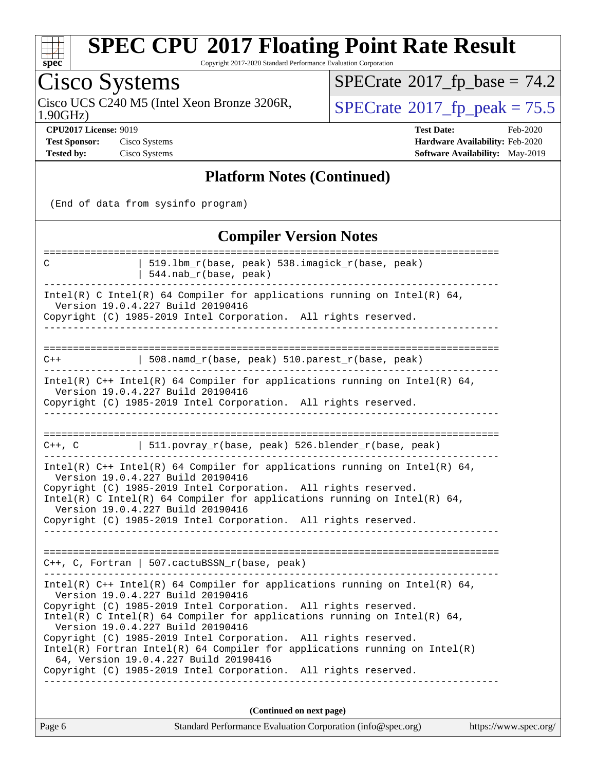

Copyright 2017-2020 Standard Performance Evaluation Corporation

## Cisco Systems

Cisco UCS C240 M5 (Intel Xeon Bronze 3206R, 1.90GHz)

 $SPECrate$ <sup>®</sup>[2017\\_fp\\_base =](http://www.spec.org/auto/cpu2017/Docs/result-fields.html#SPECrate2017fpbase) 74.2

 $SPECTate  $2017$  from  $2017$$ 

**[CPU2017 License:](http://www.spec.org/auto/cpu2017/Docs/result-fields.html#CPU2017License)** 9019 **[Test Date:](http://www.spec.org/auto/cpu2017/Docs/result-fields.html#TestDate)** Feb-2020 **[Test Sponsor:](http://www.spec.org/auto/cpu2017/Docs/result-fields.html#TestSponsor)** Cisco Systems **[Hardware Availability:](http://www.spec.org/auto/cpu2017/Docs/result-fields.html#HardwareAvailability)** Feb-2020 **[Tested by:](http://www.spec.org/auto/cpu2017/Docs/result-fields.html#Testedby)** Cisco Systems **[Software Availability:](http://www.spec.org/auto/cpu2017/Docs/result-fields.html#SoftwareAvailability)** May-2019

#### **[Platform Notes \(Continued\)](http://www.spec.org/auto/cpu2017/Docs/result-fields.html#PlatformNotes)**

(End of data from sysinfo program)

#### **[Compiler Version Notes](http://www.spec.org/auto/cpu2017/Docs/result-fields.html#CompilerVersionNotes)** ============================================================================== C | 519.lbm\_r(base, peak) 538.imagick\_r(base, peak) | 544.nab\_r(base, peak) ------------------------------------------------------------------------------ Intel(R) C Intel(R) 64 Compiler for applications running on Intel(R)  $64$ , Version 19.0.4.227 Build 20190416 Copyright (C) 1985-2019 Intel Corporation. All rights reserved. ------------------------------------------------------------------------------ ============================================================================== C++  $\qquad \qquad \qquad \qquad \text{{508.namd_r(base, peak) 510.parest_r(base, peak)}}$ ------------------------------------------------------------------------------ Intel(R)  $C++$  Intel(R) 64 Compiler for applications running on Intel(R) 64, Version 19.0.4.227 Build 20190416 Copyright (C) 1985-2019 Intel Corporation. All rights reserved. ------------------------------------------------------------------------------ ==============================================================================  $C++$ , C  $| 511.povray_r(base, peak) 526.blender_r(base, peak)$ ------------------------------------------------------------------------------ Intel(R)  $C++$  Intel(R) 64 Compiler for applications running on Intel(R) 64, Version 19.0.4.227 Build 20190416 Copyright (C) 1985-2019 Intel Corporation. All rights reserved. Intel(R) C Intel(R) 64 Compiler for applications running on Intel(R)  $64$ , Version 19.0.4.227 Build 20190416 Copyright (C) 1985-2019 Intel Corporation. All rights reserved. ------------------------------------------------------------------------------ ============================================================================== C++, C, Fortran | 507.cactuBSSN\_r(base, peak) ------------------------------------------------------------------------------ Intel(R) C++ Intel(R) 64 Compiler for applications running on Intel(R) 64, Version 19.0.4.227 Build 20190416 Copyright (C) 1985-2019 Intel Corporation. All rights reserved. Intel(R) C Intel(R) 64 Compiler for applications running on Intel(R)  $64$ , Version 19.0.4.227 Build 20190416 Copyright (C) 1985-2019 Intel Corporation. All rights reserved. Intel(R) Fortran Intel(R) 64 Compiler for applications running on Intel(R) 64, Version 19.0.4.227 Build 20190416 Copyright (C) 1985-2019 Intel Corporation. All rights reserved. ------------------------------------------------------------------------------ **(Continued on next page)**

Page 6 Standard Performance Evaluation Corporation [\(info@spec.org\)](mailto:info@spec.org) <https://www.spec.org/>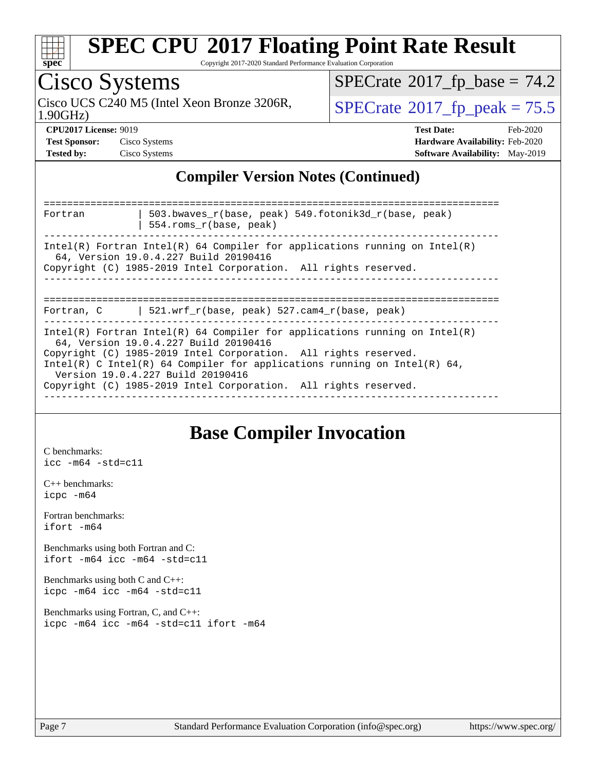

Copyright 2017-2020 Standard Performance Evaluation Corporation

#### Cisco Systems 1.90GHz) Cisco UCS C240 M5 (Intel Xeon Bronze 3206R,  $\vert$  [SPECrate](http://www.spec.org/auto/cpu2017/Docs/result-fields.html#SPECrate2017fppeak)<sup>®</sup>[2017\\_fp\\_peak = 7](http://www.spec.org/auto/cpu2017/Docs/result-fields.html#SPECrate2017fppeak)5.5  $SPECrate$ <sup>®</sup>[2017\\_fp\\_base =](http://www.spec.org/auto/cpu2017/Docs/result-fields.html#SPECrate2017fpbase) 74.2 **[CPU2017 License:](http://www.spec.org/auto/cpu2017/Docs/result-fields.html#CPU2017License)** 9019 **[Test Date:](http://www.spec.org/auto/cpu2017/Docs/result-fields.html#TestDate)** Feb-2020 **[Test Sponsor:](http://www.spec.org/auto/cpu2017/Docs/result-fields.html#TestSponsor)** Cisco Systems **[Hardware Availability:](http://www.spec.org/auto/cpu2017/Docs/result-fields.html#HardwareAvailability)** Feb-2020 **[Tested by:](http://www.spec.org/auto/cpu2017/Docs/result-fields.html#Testedby)** Cisco Systems **[Software Availability:](http://www.spec.org/auto/cpu2017/Docs/result-fields.html#SoftwareAvailability)** May-2019 **[Compiler Version Notes \(Continued\)](http://www.spec.org/auto/cpu2017/Docs/result-fields.html#CompilerVersionNotes)** ============================================================================== | 503.bwaves\_r(base, peak) 549.fotonik3d\_r(base, peak) | 554.roms\_r(base, peak) ------------------------------------------------------------------------------ Intel(R) Fortran Intel(R) 64 Compiler for applications running on Intel(R) 64, Version 19.0.4.227 Build 20190416 Copyright (C) 1985-2019 Intel Corporation. All rights reserved. ------------------------------------------------------------------------------ ============================================================================== Fortran, C | 521.wrf\_r(base, peak) 527.cam4\_r(base, peak) ------------------------------------------------------------------------------ Intel(R) Fortran Intel(R) 64 Compiler for applications running on Intel(R)

 64, Version 19.0.4.227 Build 20190416 Copyright (C) 1985-2019 Intel Corporation. All rights reserved. Intel(R) C Intel(R) 64 Compiler for applications running on Intel(R) 64, Version 19.0.4.227 Build 20190416 Copyright (C) 1985-2019 Intel Corporation. All rights reserved.

------------------------------------------------------------------------------

### **[Base Compiler Invocation](http://www.spec.org/auto/cpu2017/Docs/result-fields.html#BaseCompilerInvocation)**

[C benchmarks](http://www.spec.org/auto/cpu2017/Docs/result-fields.html#Cbenchmarks): [icc -m64 -std=c11](http://www.spec.org/cpu2017/results/res2020q1/cpu2017-20200303-21167.flags.html#user_CCbase_intel_icc_64bit_c11_33ee0cdaae7deeeab2a9725423ba97205ce30f63b9926c2519791662299b76a0318f32ddfffdc46587804de3178b4f9328c46fa7c2b0cd779d7a61945c91cd35)

[C++ benchmarks:](http://www.spec.org/auto/cpu2017/Docs/result-fields.html#CXXbenchmarks) [icpc -m64](http://www.spec.org/cpu2017/results/res2020q1/cpu2017-20200303-21167.flags.html#user_CXXbase_intel_icpc_64bit_4ecb2543ae3f1412ef961e0650ca070fec7b7afdcd6ed48761b84423119d1bf6bdf5cad15b44d48e7256388bc77273b966e5eb805aefd121eb22e9299b2ec9d9)

[Fortran benchmarks](http://www.spec.org/auto/cpu2017/Docs/result-fields.html#Fortranbenchmarks): [ifort -m64](http://www.spec.org/cpu2017/results/res2020q1/cpu2017-20200303-21167.flags.html#user_FCbase_intel_ifort_64bit_24f2bb282fbaeffd6157abe4f878425411749daecae9a33200eee2bee2fe76f3b89351d69a8130dd5949958ce389cf37ff59a95e7a40d588e8d3a57e0c3fd751)

[Benchmarks using both Fortran and C](http://www.spec.org/auto/cpu2017/Docs/result-fields.html#BenchmarksusingbothFortranandC): [ifort -m64](http://www.spec.org/cpu2017/results/res2020q1/cpu2017-20200303-21167.flags.html#user_CC_FCbase_intel_ifort_64bit_24f2bb282fbaeffd6157abe4f878425411749daecae9a33200eee2bee2fe76f3b89351d69a8130dd5949958ce389cf37ff59a95e7a40d588e8d3a57e0c3fd751) [icc -m64 -std=c11](http://www.spec.org/cpu2017/results/res2020q1/cpu2017-20200303-21167.flags.html#user_CC_FCbase_intel_icc_64bit_c11_33ee0cdaae7deeeab2a9725423ba97205ce30f63b9926c2519791662299b76a0318f32ddfffdc46587804de3178b4f9328c46fa7c2b0cd779d7a61945c91cd35)

[Benchmarks using both C and C++](http://www.spec.org/auto/cpu2017/Docs/result-fields.html#BenchmarksusingbothCandCXX): [icpc -m64](http://www.spec.org/cpu2017/results/res2020q1/cpu2017-20200303-21167.flags.html#user_CC_CXXbase_intel_icpc_64bit_4ecb2543ae3f1412ef961e0650ca070fec7b7afdcd6ed48761b84423119d1bf6bdf5cad15b44d48e7256388bc77273b966e5eb805aefd121eb22e9299b2ec9d9) [icc -m64 -std=c11](http://www.spec.org/cpu2017/results/res2020q1/cpu2017-20200303-21167.flags.html#user_CC_CXXbase_intel_icc_64bit_c11_33ee0cdaae7deeeab2a9725423ba97205ce30f63b9926c2519791662299b76a0318f32ddfffdc46587804de3178b4f9328c46fa7c2b0cd779d7a61945c91cd35)

[Benchmarks using Fortran, C, and C++:](http://www.spec.org/auto/cpu2017/Docs/result-fields.html#BenchmarksusingFortranCandCXX) [icpc -m64](http://www.spec.org/cpu2017/results/res2020q1/cpu2017-20200303-21167.flags.html#user_CC_CXX_FCbase_intel_icpc_64bit_4ecb2543ae3f1412ef961e0650ca070fec7b7afdcd6ed48761b84423119d1bf6bdf5cad15b44d48e7256388bc77273b966e5eb805aefd121eb22e9299b2ec9d9) [icc -m64 -std=c11](http://www.spec.org/cpu2017/results/res2020q1/cpu2017-20200303-21167.flags.html#user_CC_CXX_FCbase_intel_icc_64bit_c11_33ee0cdaae7deeeab2a9725423ba97205ce30f63b9926c2519791662299b76a0318f32ddfffdc46587804de3178b4f9328c46fa7c2b0cd779d7a61945c91cd35) [ifort -m64](http://www.spec.org/cpu2017/results/res2020q1/cpu2017-20200303-21167.flags.html#user_CC_CXX_FCbase_intel_ifort_64bit_24f2bb282fbaeffd6157abe4f878425411749daecae9a33200eee2bee2fe76f3b89351d69a8130dd5949958ce389cf37ff59a95e7a40d588e8d3a57e0c3fd751)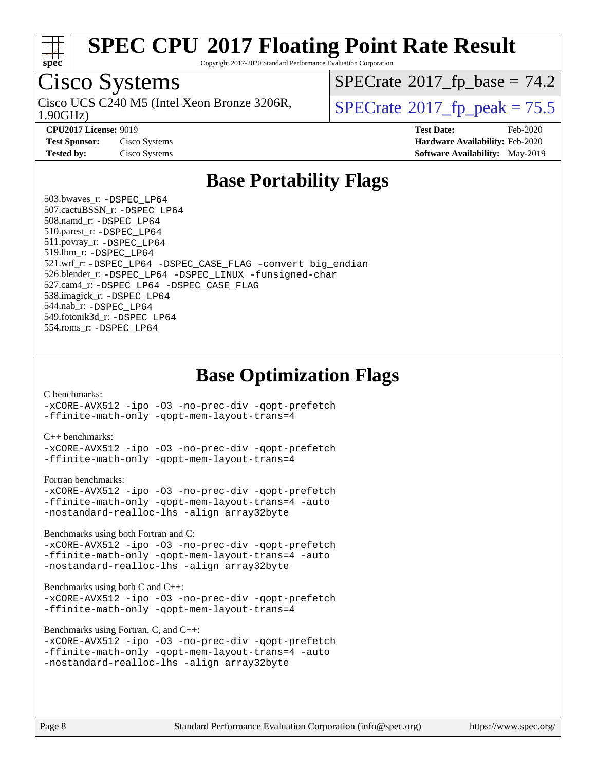

Copyright 2017-2020 Standard Performance Evaluation Corporation

### Cisco Systems

1.90GHz) Cisco UCS C240 M5 (Intel Xeon Bronze 3206R,  $\vert$  [SPECrate](http://www.spec.org/auto/cpu2017/Docs/result-fields.html#SPECrate2017fppeak)®[2017\\_fp\\_peak = 7](http://www.spec.org/auto/cpu2017/Docs/result-fields.html#SPECrate2017fppeak)5.5

 $SPECTate@2017_fp\_base = 74.2$ 

**[CPU2017 License:](http://www.spec.org/auto/cpu2017/Docs/result-fields.html#CPU2017License)** 9019 **[Test Date:](http://www.spec.org/auto/cpu2017/Docs/result-fields.html#TestDate)** Feb-2020 **[Test Sponsor:](http://www.spec.org/auto/cpu2017/Docs/result-fields.html#TestSponsor)** Cisco Systems **[Hardware Availability:](http://www.spec.org/auto/cpu2017/Docs/result-fields.html#HardwareAvailability)** Feb-2020 **[Tested by:](http://www.spec.org/auto/cpu2017/Docs/result-fields.html#Testedby)** Cisco Systems **[Software Availability:](http://www.spec.org/auto/cpu2017/Docs/result-fields.html#SoftwareAvailability)** May-2019

### **[Base Portability Flags](http://www.spec.org/auto/cpu2017/Docs/result-fields.html#BasePortabilityFlags)**

 503.bwaves\_r: [-DSPEC\\_LP64](http://www.spec.org/cpu2017/results/res2020q1/cpu2017-20200303-21167.flags.html#suite_basePORTABILITY503_bwaves_r_DSPEC_LP64) 507.cactuBSSN\_r: [-DSPEC\\_LP64](http://www.spec.org/cpu2017/results/res2020q1/cpu2017-20200303-21167.flags.html#suite_basePORTABILITY507_cactuBSSN_r_DSPEC_LP64) 508.namd\_r: [-DSPEC\\_LP64](http://www.spec.org/cpu2017/results/res2020q1/cpu2017-20200303-21167.flags.html#suite_basePORTABILITY508_namd_r_DSPEC_LP64) 510.parest\_r: [-DSPEC\\_LP64](http://www.spec.org/cpu2017/results/res2020q1/cpu2017-20200303-21167.flags.html#suite_basePORTABILITY510_parest_r_DSPEC_LP64) 511.povray\_r: [-DSPEC\\_LP64](http://www.spec.org/cpu2017/results/res2020q1/cpu2017-20200303-21167.flags.html#suite_basePORTABILITY511_povray_r_DSPEC_LP64) 519.lbm\_r: [-DSPEC\\_LP64](http://www.spec.org/cpu2017/results/res2020q1/cpu2017-20200303-21167.flags.html#suite_basePORTABILITY519_lbm_r_DSPEC_LP64) 521.wrf\_r: [-DSPEC\\_LP64](http://www.spec.org/cpu2017/results/res2020q1/cpu2017-20200303-21167.flags.html#suite_basePORTABILITY521_wrf_r_DSPEC_LP64) [-DSPEC\\_CASE\\_FLAG](http://www.spec.org/cpu2017/results/res2020q1/cpu2017-20200303-21167.flags.html#b521.wrf_r_baseCPORTABILITY_DSPEC_CASE_FLAG) [-convert big\\_endian](http://www.spec.org/cpu2017/results/res2020q1/cpu2017-20200303-21167.flags.html#user_baseFPORTABILITY521_wrf_r_convert_big_endian_c3194028bc08c63ac5d04de18c48ce6d347e4e562e8892b8bdbdc0214820426deb8554edfa529a3fb25a586e65a3d812c835984020483e7e73212c4d31a38223) 526.blender\_r: [-DSPEC\\_LP64](http://www.spec.org/cpu2017/results/res2020q1/cpu2017-20200303-21167.flags.html#suite_basePORTABILITY526_blender_r_DSPEC_LP64) [-DSPEC\\_LINUX](http://www.spec.org/cpu2017/results/res2020q1/cpu2017-20200303-21167.flags.html#b526.blender_r_baseCPORTABILITY_DSPEC_LINUX) [-funsigned-char](http://www.spec.org/cpu2017/results/res2020q1/cpu2017-20200303-21167.flags.html#user_baseCPORTABILITY526_blender_r_force_uchar_40c60f00ab013830e2dd6774aeded3ff59883ba5a1fc5fc14077f794d777847726e2a5858cbc7672e36e1b067e7e5c1d9a74f7176df07886a243d7cc18edfe67) 527.cam4\_r: [-DSPEC\\_LP64](http://www.spec.org/cpu2017/results/res2020q1/cpu2017-20200303-21167.flags.html#suite_basePORTABILITY527_cam4_r_DSPEC_LP64) [-DSPEC\\_CASE\\_FLAG](http://www.spec.org/cpu2017/results/res2020q1/cpu2017-20200303-21167.flags.html#b527.cam4_r_baseCPORTABILITY_DSPEC_CASE_FLAG) 538.imagick\_r: [-DSPEC\\_LP64](http://www.spec.org/cpu2017/results/res2020q1/cpu2017-20200303-21167.flags.html#suite_basePORTABILITY538_imagick_r_DSPEC_LP64) 544.nab\_r: [-DSPEC\\_LP64](http://www.spec.org/cpu2017/results/res2020q1/cpu2017-20200303-21167.flags.html#suite_basePORTABILITY544_nab_r_DSPEC_LP64) 549.fotonik3d\_r: [-DSPEC\\_LP64](http://www.spec.org/cpu2017/results/res2020q1/cpu2017-20200303-21167.flags.html#suite_basePORTABILITY549_fotonik3d_r_DSPEC_LP64) 554.roms\_r: [-DSPEC\\_LP64](http://www.spec.org/cpu2017/results/res2020q1/cpu2017-20200303-21167.flags.html#suite_basePORTABILITY554_roms_r_DSPEC_LP64)

**[Base Optimization Flags](http://www.spec.org/auto/cpu2017/Docs/result-fields.html#BaseOptimizationFlags)**

#### [C benchmarks](http://www.spec.org/auto/cpu2017/Docs/result-fields.html#Cbenchmarks):

[-xCORE-AVX512](http://www.spec.org/cpu2017/results/res2020q1/cpu2017-20200303-21167.flags.html#user_CCbase_f-xCORE-AVX512) [-ipo](http://www.spec.org/cpu2017/results/res2020q1/cpu2017-20200303-21167.flags.html#user_CCbase_f-ipo) [-O3](http://www.spec.org/cpu2017/results/res2020q1/cpu2017-20200303-21167.flags.html#user_CCbase_f-O3) [-no-prec-div](http://www.spec.org/cpu2017/results/res2020q1/cpu2017-20200303-21167.flags.html#user_CCbase_f-no-prec-div) [-qopt-prefetch](http://www.spec.org/cpu2017/results/res2020q1/cpu2017-20200303-21167.flags.html#user_CCbase_f-qopt-prefetch) [-ffinite-math-only](http://www.spec.org/cpu2017/results/res2020q1/cpu2017-20200303-21167.flags.html#user_CCbase_f_finite_math_only_cb91587bd2077682c4b38af759c288ed7c732db004271a9512da14a4f8007909a5f1427ecbf1a0fb78ff2a814402c6114ac565ca162485bbcae155b5e4258871) [-qopt-mem-layout-trans=4](http://www.spec.org/cpu2017/results/res2020q1/cpu2017-20200303-21167.flags.html#user_CCbase_f-qopt-mem-layout-trans_fa39e755916c150a61361b7846f310bcdf6f04e385ef281cadf3647acec3f0ae266d1a1d22d972a7087a248fd4e6ca390a3634700869573d231a252c784941a8)

#### [C++ benchmarks:](http://www.spec.org/auto/cpu2017/Docs/result-fields.html#CXXbenchmarks)

[-xCORE-AVX512](http://www.spec.org/cpu2017/results/res2020q1/cpu2017-20200303-21167.flags.html#user_CXXbase_f-xCORE-AVX512) [-ipo](http://www.spec.org/cpu2017/results/res2020q1/cpu2017-20200303-21167.flags.html#user_CXXbase_f-ipo) [-O3](http://www.spec.org/cpu2017/results/res2020q1/cpu2017-20200303-21167.flags.html#user_CXXbase_f-O3) [-no-prec-div](http://www.spec.org/cpu2017/results/res2020q1/cpu2017-20200303-21167.flags.html#user_CXXbase_f-no-prec-div) [-qopt-prefetch](http://www.spec.org/cpu2017/results/res2020q1/cpu2017-20200303-21167.flags.html#user_CXXbase_f-qopt-prefetch) [-ffinite-math-only](http://www.spec.org/cpu2017/results/res2020q1/cpu2017-20200303-21167.flags.html#user_CXXbase_f_finite_math_only_cb91587bd2077682c4b38af759c288ed7c732db004271a9512da14a4f8007909a5f1427ecbf1a0fb78ff2a814402c6114ac565ca162485bbcae155b5e4258871) [-qopt-mem-layout-trans=4](http://www.spec.org/cpu2017/results/res2020q1/cpu2017-20200303-21167.flags.html#user_CXXbase_f-qopt-mem-layout-trans_fa39e755916c150a61361b7846f310bcdf6f04e385ef281cadf3647acec3f0ae266d1a1d22d972a7087a248fd4e6ca390a3634700869573d231a252c784941a8)

#### [Fortran benchmarks](http://www.spec.org/auto/cpu2017/Docs/result-fields.html#Fortranbenchmarks):

```
-xCORE-AVX512 -ipo -O3 -no-prec-div -qopt-prefetch
-ffinite-math-only -qopt-mem-layout-trans=4 -auto
-nostandard-realloc-lhs -align array32byte
```
[Benchmarks using both Fortran and C](http://www.spec.org/auto/cpu2017/Docs/result-fields.html#BenchmarksusingbothFortranandC):

```
-xCORE-AVX512 -ipo -O3 -no-prec-div -qopt-prefetch
-ffinite-math-only -qopt-mem-layout-trans=4 -auto
-nostandard-realloc-lhs -align array32byte
```
#### [Benchmarks using both C and C++](http://www.spec.org/auto/cpu2017/Docs/result-fields.html#BenchmarksusingbothCandCXX):

```
-xCORE-AVX512 -ipo -O3 -no-prec-div -qopt-prefetch
-ffinite-math-only -qopt-mem-layout-trans=4
```
[Benchmarks using Fortran, C, and C++:](http://www.spec.org/auto/cpu2017/Docs/result-fields.html#BenchmarksusingFortranCandCXX)

```
-xCORE-AVX512 -ipo -O3 -no-prec-div -qopt-prefetch
-ffinite-math-only -qopt-mem-layout-trans=4 -auto
-nostandard-realloc-lhs -align array32byte
```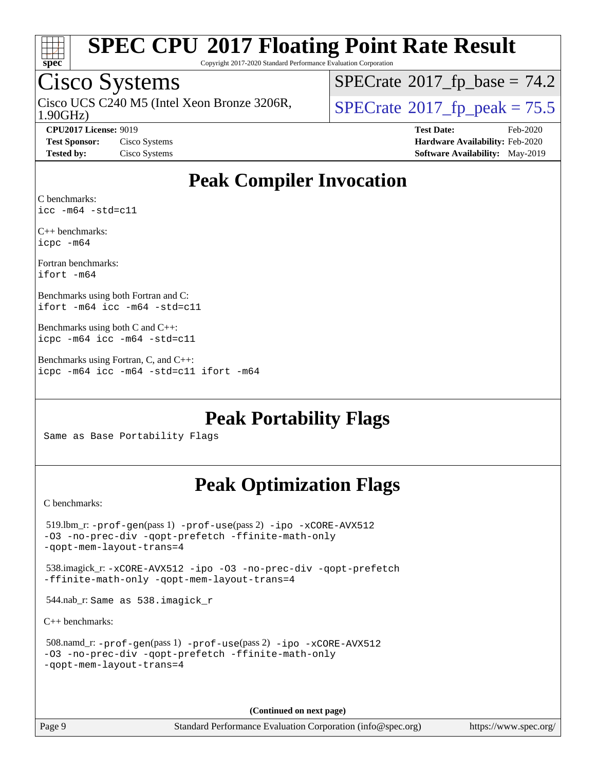

Copyright 2017-2020 Standard Performance Evaluation Corporation

### Cisco Systems

1.90GHz) Cisco UCS C240 M5 (Intel Xeon Bronze 3206R,  $\vert$ [SPECrate](http://www.spec.org/auto/cpu2017/Docs/result-fields.html#SPECrate2017fppeak)<sup>®</sup>[2017\\_fp\\_peak = 7](http://www.spec.org/auto/cpu2017/Docs/result-fields.html#SPECrate2017fppeak)5.5

 $SPECTate@2017_fp\_base = 74.2$ 

**[CPU2017 License:](http://www.spec.org/auto/cpu2017/Docs/result-fields.html#CPU2017License)** 9019 **[Test Date:](http://www.spec.org/auto/cpu2017/Docs/result-fields.html#TestDate)** Feb-2020 **[Test Sponsor:](http://www.spec.org/auto/cpu2017/Docs/result-fields.html#TestSponsor)** Cisco Systems **[Hardware Availability:](http://www.spec.org/auto/cpu2017/Docs/result-fields.html#HardwareAvailability)** Feb-2020 **[Tested by:](http://www.spec.org/auto/cpu2017/Docs/result-fields.html#Testedby)** Cisco Systems **[Software Availability:](http://www.spec.org/auto/cpu2017/Docs/result-fields.html#SoftwareAvailability)** May-2019

### **[Peak Compiler Invocation](http://www.spec.org/auto/cpu2017/Docs/result-fields.html#PeakCompilerInvocation)**

[C benchmarks](http://www.spec.org/auto/cpu2017/Docs/result-fields.html#Cbenchmarks): [icc -m64 -std=c11](http://www.spec.org/cpu2017/results/res2020q1/cpu2017-20200303-21167.flags.html#user_CCpeak_intel_icc_64bit_c11_33ee0cdaae7deeeab2a9725423ba97205ce30f63b9926c2519791662299b76a0318f32ddfffdc46587804de3178b4f9328c46fa7c2b0cd779d7a61945c91cd35)

[C++ benchmarks:](http://www.spec.org/auto/cpu2017/Docs/result-fields.html#CXXbenchmarks) [icpc -m64](http://www.spec.org/cpu2017/results/res2020q1/cpu2017-20200303-21167.flags.html#user_CXXpeak_intel_icpc_64bit_4ecb2543ae3f1412ef961e0650ca070fec7b7afdcd6ed48761b84423119d1bf6bdf5cad15b44d48e7256388bc77273b966e5eb805aefd121eb22e9299b2ec9d9)

[Fortran benchmarks](http://www.spec.org/auto/cpu2017/Docs/result-fields.html#Fortranbenchmarks): [ifort -m64](http://www.spec.org/cpu2017/results/res2020q1/cpu2017-20200303-21167.flags.html#user_FCpeak_intel_ifort_64bit_24f2bb282fbaeffd6157abe4f878425411749daecae9a33200eee2bee2fe76f3b89351d69a8130dd5949958ce389cf37ff59a95e7a40d588e8d3a57e0c3fd751)

[Benchmarks using both Fortran and C](http://www.spec.org/auto/cpu2017/Docs/result-fields.html#BenchmarksusingbothFortranandC): [ifort -m64](http://www.spec.org/cpu2017/results/res2020q1/cpu2017-20200303-21167.flags.html#user_CC_FCpeak_intel_ifort_64bit_24f2bb282fbaeffd6157abe4f878425411749daecae9a33200eee2bee2fe76f3b89351d69a8130dd5949958ce389cf37ff59a95e7a40d588e8d3a57e0c3fd751) [icc -m64 -std=c11](http://www.spec.org/cpu2017/results/res2020q1/cpu2017-20200303-21167.flags.html#user_CC_FCpeak_intel_icc_64bit_c11_33ee0cdaae7deeeab2a9725423ba97205ce30f63b9926c2519791662299b76a0318f32ddfffdc46587804de3178b4f9328c46fa7c2b0cd779d7a61945c91cd35)

[Benchmarks using both C and C++:](http://www.spec.org/auto/cpu2017/Docs/result-fields.html#BenchmarksusingbothCandCXX) [icpc -m64](http://www.spec.org/cpu2017/results/res2020q1/cpu2017-20200303-21167.flags.html#user_CC_CXXpeak_intel_icpc_64bit_4ecb2543ae3f1412ef961e0650ca070fec7b7afdcd6ed48761b84423119d1bf6bdf5cad15b44d48e7256388bc77273b966e5eb805aefd121eb22e9299b2ec9d9) [icc -m64 -std=c11](http://www.spec.org/cpu2017/results/res2020q1/cpu2017-20200303-21167.flags.html#user_CC_CXXpeak_intel_icc_64bit_c11_33ee0cdaae7deeeab2a9725423ba97205ce30f63b9926c2519791662299b76a0318f32ddfffdc46587804de3178b4f9328c46fa7c2b0cd779d7a61945c91cd35)

[Benchmarks using Fortran, C, and C++:](http://www.spec.org/auto/cpu2017/Docs/result-fields.html#BenchmarksusingFortranCandCXX) [icpc -m64](http://www.spec.org/cpu2017/results/res2020q1/cpu2017-20200303-21167.flags.html#user_CC_CXX_FCpeak_intel_icpc_64bit_4ecb2543ae3f1412ef961e0650ca070fec7b7afdcd6ed48761b84423119d1bf6bdf5cad15b44d48e7256388bc77273b966e5eb805aefd121eb22e9299b2ec9d9) [icc -m64 -std=c11](http://www.spec.org/cpu2017/results/res2020q1/cpu2017-20200303-21167.flags.html#user_CC_CXX_FCpeak_intel_icc_64bit_c11_33ee0cdaae7deeeab2a9725423ba97205ce30f63b9926c2519791662299b76a0318f32ddfffdc46587804de3178b4f9328c46fa7c2b0cd779d7a61945c91cd35) [ifort -m64](http://www.spec.org/cpu2017/results/res2020q1/cpu2017-20200303-21167.flags.html#user_CC_CXX_FCpeak_intel_ifort_64bit_24f2bb282fbaeffd6157abe4f878425411749daecae9a33200eee2bee2fe76f3b89351d69a8130dd5949958ce389cf37ff59a95e7a40d588e8d3a57e0c3fd751)

**[Peak Portability Flags](http://www.spec.org/auto/cpu2017/Docs/result-fields.html#PeakPortabilityFlags)**

Same as Base Portability Flags

### **[Peak Optimization Flags](http://www.spec.org/auto/cpu2017/Docs/result-fields.html#PeakOptimizationFlags)**

[C benchmarks](http://www.spec.org/auto/cpu2017/Docs/result-fields.html#Cbenchmarks):

 519.lbm\_r: [-prof-gen](http://www.spec.org/cpu2017/results/res2020q1/cpu2017-20200303-21167.flags.html#user_peakPASS1_CFLAGSPASS1_LDFLAGS519_lbm_r_prof_gen_5aa4926d6013ddb2a31985c654b3eb18169fc0c6952a63635c234f711e6e63dd76e94ad52365559451ec499a2cdb89e4dc58ba4c67ef54ca681ffbe1461d6b36)(pass 1) [-prof-use](http://www.spec.org/cpu2017/results/res2020q1/cpu2017-20200303-21167.flags.html#user_peakPASS2_CFLAGSPASS2_LDFLAGS519_lbm_r_prof_use_1a21ceae95f36a2b53c25747139a6c16ca95bd9def2a207b4f0849963b97e94f5260e30a0c64f4bb623698870e679ca08317ef8150905d41bd88c6f78df73f19)(pass 2) [-ipo](http://www.spec.org/cpu2017/results/res2020q1/cpu2017-20200303-21167.flags.html#user_peakPASS1_COPTIMIZEPASS2_COPTIMIZE519_lbm_r_f-ipo) [-xCORE-AVX512](http://www.spec.org/cpu2017/results/res2020q1/cpu2017-20200303-21167.flags.html#user_peakPASS2_COPTIMIZE519_lbm_r_f-xCORE-AVX512) [-O3](http://www.spec.org/cpu2017/results/res2020q1/cpu2017-20200303-21167.flags.html#user_peakPASS1_COPTIMIZEPASS2_COPTIMIZE519_lbm_r_f-O3) [-no-prec-div](http://www.spec.org/cpu2017/results/res2020q1/cpu2017-20200303-21167.flags.html#user_peakPASS1_COPTIMIZEPASS2_COPTIMIZE519_lbm_r_f-no-prec-div) [-qopt-prefetch](http://www.spec.org/cpu2017/results/res2020q1/cpu2017-20200303-21167.flags.html#user_peakPASS1_COPTIMIZEPASS2_COPTIMIZE519_lbm_r_f-qopt-prefetch) [-ffinite-math-only](http://www.spec.org/cpu2017/results/res2020q1/cpu2017-20200303-21167.flags.html#user_peakPASS1_COPTIMIZEPASS2_COPTIMIZE519_lbm_r_f_finite_math_only_cb91587bd2077682c4b38af759c288ed7c732db004271a9512da14a4f8007909a5f1427ecbf1a0fb78ff2a814402c6114ac565ca162485bbcae155b5e4258871) [-qopt-mem-layout-trans=4](http://www.spec.org/cpu2017/results/res2020q1/cpu2017-20200303-21167.flags.html#user_peakPASS1_COPTIMIZEPASS2_COPTIMIZE519_lbm_r_f-qopt-mem-layout-trans_fa39e755916c150a61361b7846f310bcdf6f04e385ef281cadf3647acec3f0ae266d1a1d22d972a7087a248fd4e6ca390a3634700869573d231a252c784941a8) 538.imagick\_r: [-xCORE-AVX512](http://www.spec.org/cpu2017/results/res2020q1/cpu2017-20200303-21167.flags.html#user_peakCOPTIMIZE538_imagick_r_f-xCORE-AVX512) [-ipo](http://www.spec.org/cpu2017/results/res2020q1/cpu2017-20200303-21167.flags.html#user_peakCOPTIMIZE538_imagick_r_f-ipo) [-O3](http://www.spec.org/cpu2017/results/res2020q1/cpu2017-20200303-21167.flags.html#user_peakCOPTIMIZE538_imagick_r_f-O3) [-no-prec-div](http://www.spec.org/cpu2017/results/res2020q1/cpu2017-20200303-21167.flags.html#user_peakCOPTIMIZE538_imagick_r_f-no-prec-div) [-qopt-prefetch](http://www.spec.org/cpu2017/results/res2020q1/cpu2017-20200303-21167.flags.html#user_peakCOPTIMIZE538_imagick_r_f-qopt-prefetch) [-ffinite-math-only](http://www.spec.org/cpu2017/results/res2020q1/cpu2017-20200303-21167.flags.html#user_peakCOPTIMIZE538_imagick_r_f_finite_math_only_cb91587bd2077682c4b38af759c288ed7c732db004271a9512da14a4f8007909a5f1427ecbf1a0fb78ff2a814402c6114ac565ca162485bbcae155b5e4258871) [-qopt-mem-layout-trans=4](http://www.spec.org/cpu2017/results/res2020q1/cpu2017-20200303-21167.flags.html#user_peakCOPTIMIZE538_imagick_r_f-qopt-mem-layout-trans_fa39e755916c150a61361b7846f310bcdf6f04e385ef281cadf3647acec3f0ae266d1a1d22d972a7087a248fd4e6ca390a3634700869573d231a252c784941a8) 544.nab\_r: Same as 538.imagick\_r [C++ benchmarks:](http://www.spec.org/auto/cpu2017/Docs/result-fields.html#CXXbenchmarks) 508.namd\_r: [-prof-gen](http://www.spec.org/cpu2017/results/res2020q1/cpu2017-20200303-21167.flags.html#user_peakPASS1_CXXFLAGSPASS1_LDFLAGS508_namd_r_prof_gen_5aa4926d6013ddb2a31985c654b3eb18169fc0c6952a63635c234f711e6e63dd76e94ad52365559451ec499a2cdb89e4dc58ba4c67ef54ca681ffbe1461d6b36)(pass 1) [-prof-use](http://www.spec.org/cpu2017/results/res2020q1/cpu2017-20200303-21167.flags.html#user_peakPASS2_CXXFLAGSPASS2_LDFLAGS508_namd_r_prof_use_1a21ceae95f36a2b53c25747139a6c16ca95bd9def2a207b4f0849963b97e94f5260e30a0c64f4bb623698870e679ca08317ef8150905d41bd88c6f78df73f19)(pass 2) [-ipo](http://www.spec.org/cpu2017/results/res2020q1/cpu2017-20200303-21167.flags.html#user_peakPASS1_CXXOPTIMIZEPASS2_CXXOPTIMIZE508_namd_r_f-ipo) [-xCORE-AVX512](http://www.spec.org/cpu2017/results/res2020q1/cpu2017-20200303-21167.flags.html#user_peakPASS2_CXXOPTIMIZE508_namd_r_f-xCORE-AVX512) [-O3](http://www.spec.org/cpu2017/results/res2020q1/cpu2017-20200303-21167.flags.html#user_peakPASS1_CXXOPTIMIZEPASS2_CXXOPTIMIZE508_namd_r_f-O3) [-no-prec-div](http://www.spec.org/cpu2017/results/res2020q1/cpu2017-20200303-21167.flags.html#user_peakPASS1_CXXOPTIMIZEPASS2_CXXOPTIMIZE508_namd_r_f-no-prec-div) [-qopt-prefetch](http://www.spec.org/cpu2017/results/res2020q1/cpu2017-20200303-21167.flags.html#user_peakPASS1_CXXOPTIMIZEPASS2_CXXOPTIMIZE508_namd_r_f-qopt-prefetch) [-ffinite-math-only](http://www.spec.org/cpu2017/results/res2020q1/cpu2017-20200303-21167.flags.html#user_peakPASS1_CXXOPTIMIZEPASS2_CXXOPTIMIZE508_namd_r_f_finite_math_only_cb91587bd2077682c4b38af759c288ed7c732db004271a9512da14a4f8007909a5f1427ecbf1a0fb78ff2a814402c6114ac565ca162485bbcae155b5e4258871) [-qopt-mem-layout-trans=4](http://www.spec.org/cpu2017/results/res2020q1/cpu2017-20200303-21167.flags.html#user_peakPASS1_CXXOPTIMIZEPASS2_CXXOPTIMIZE508_namd_r_f-qopt-mem-layout-trans_fa39e755916c150a61361b7846f310bcdf6f04e385ef281cadf3647acec3f0ae266d1a1d22d972a7087a248fd4e6ca390a3634700869573d231a252c784941a8)

**(Continued on next page)**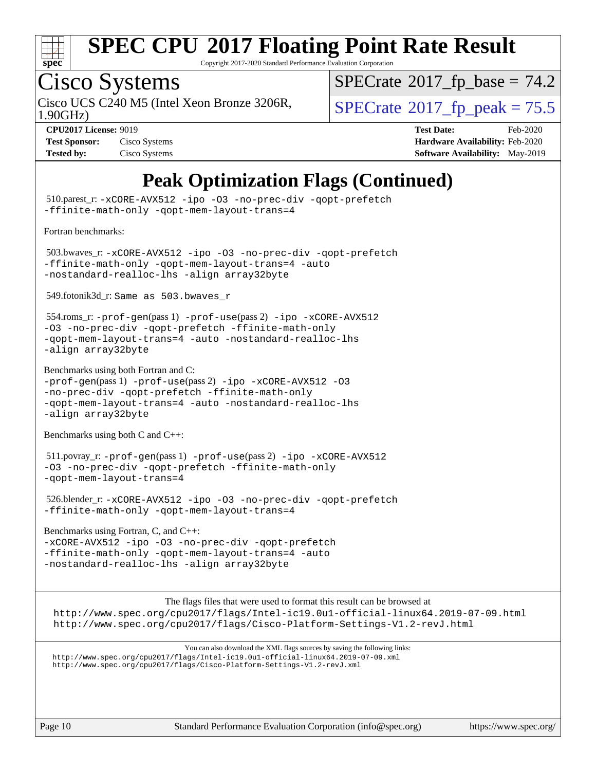

Copyright 2017-2020 Standard Performance Evaluation Corporation

## Cisco Systems

1.90GHz) Cisco UCS C240 M5 (Intel Xeon Bronze 3206R,  $\vert$  [SPECrate](http://www.spec.org/auto/cpu2017/Docs/result-fields.html#SPECrate2017fppeak)®[2017\\_fp\\_peak = 7](http://www.spec.org/auto/cpu2017/Docs/result-fields.html#SPECrate2017fppeak)5.5

 $SPECTate@2017_fp\_base = 74.2$ 

| <b>Test Sponsor:</b> | Cisco Systems |
|----------------------|---------------|
| <b>Tested by:</b>    | Cisco Systems |

**[CPU2017 License:](http://www.spec.org/auto/cpu2017/Docs/result-fields.html#CPU2017License)** 9019 **[Test Date:](http://www.spec.org/auto/cpu2017/Docs/result-fields.html#TestDate)** Feb-2020 **[Hardware Availability:](http://www.spec.org/auto/cpu2017/Docs/result-fields.html#HardwareAvailability)** Feb-2020 **[Software Availability:](http://www.spec.org/auto/cpu2017/Docs/result-fields.html#SoftwareAvailability)** May-2019

### **[Peak Optimization Flags \(Continued\)](http://www.spec.org/auto/cpu2017/Docs/result-fields.html#PeakOptimizationFlags)**

Page 10 Standard Performance Evaluation Corporation [\(info@spec.org\)](mailto:info@spec.org) <https://www.spec.org/> 510.parest\_r: [-xCORE-AVX512](http://www.spec.org/cpu2017/results/res2020q1/cpu2017-20200303-21167.flags.html#user_peakCXXOPTIMIZE510_parest_r_f-xCORE-AVX512) [-ipo](http://www.spec.org/cpu2017/results/res2020q1/cpu2017-20200303-21167.flags.html#user_peakCXXOPTIMIZE510_parest_r_f-ipo) [-O3](http://www.spec.org/cpu2017/results/res2020q1/cpu2017-20200303-21167.flags.html#user_peakCXXOPTIMIZE510_parest_r_f-O3) [-no-prec-div](http://www.spec.org/cpu2017/results/res2020q1/cpu2017-20200303-21167.flags.html#user_peakCXXOPTIMIZE510_parest_r_f-no-prec-div) [-qopt-prefetch](http://www.spec.org/cpu2017/results/res2020q1/cpu2017-20200303-21167.flags.html#user_peakCXXOPTIMIZE510_parest_r_f-qopt-prefetch) [-ffinite-math-only](http://www.spec.org/cpu2017/results/res2020q1/cpu2017-20200303-21167.flags.html#user_peakCXXOPTIMIZE510_parest_r_f_finite_math_only_cb91587bd2077682c4b38af759c288ed7c732db004271a9512da14a4f8007909a5f1427ecbf1a0fb78ff2a814402c6114ac565ca162485bbcae155b5e4258871) [-qopt-mem-layout-trans=4](http://www.spec.org/cpu2017/results/res2020q1/cpu2017-20200303-21167.flags.html#user_peakCXXOPTIMIZE510_parest_r_f-qopt-mem-layout-trans_fa39e755916c150a61361b7846f310bcdf6f04e385ef281cadf3647acec3f0ae266d1a1d22d972a7087a248fd4e6ca390a3634700869573d231a252c784941a8) [Fortran benchmarks](http://www.spec.org/auto/cpu2017/Docs/result-fields.html#Fortranbenchmarks): 503.bwaves\_r: [-xCORE-AVX512](http://www.spec.org/cpu2017/results/res2020q1/cpu2017-20200303-21167.flags.html#user_peakFOPTIMIZE503_bwaves_r_f-xCORE-AVX512) [-ipo](http://www.spec.org/cpu2017/results/res2020q1/cpu2017-20200303-21167.flags.html#user_peakFOPTIMIZE503_bwaves_r_f-ipo) [-O3](http://www.spec.org/cpu2017/results/res2020q1/cpu2017-20200303-21167.flags.html#user_peakFOPTIMIZE503_bwaves_r_f-O3) [-no-prec-div](http://www.spec.org/cpu2017/results/res2020q1/cpu2017-20200303-21167.flags.html#user_peakFOPTIMIZE503_bwaves_r_f-no-prec-div) [-qopt-prefetch](http://www.spec.org/cpu2017/results/res2020q1/cpu2017-20200303-21167.flags.html#user_peakFOPTIMIZE503_bwaves_r_f-qopt-prefetch) [-ffinite-math-only](http://www.spec.org/cpu2017/results/res2020q1/cpu2017-20200303-21167.flags.html#user_peakFOPTIMIZE503_bwaves_r_f_finite_math_only_cb91587bd2077682c4b38af759c288ed7c732db004271a9512da14a4f8007909a5f1427ecbf1a0fb78ff2a814402c6114ac565ca162485bbcae155b5e4258871) [-qopt-mem-layout-trans=4](http://www.spec.org/cpu2017/results/res2020q1/cpu2017-20200303-21167.flags.html#user_peakFOPTIMIZE503_bwaves_r_f-qopt-mem-layout-trans_fa39e755916c150a61361b7846f310bcdf6f04e385ef281cadf3647acec3f0ae266d1a1d22d972a7087a248fd4e6ca390a3634700869573d231a252c784941a8) [-auto](http://www.spec.org/cpu2017/results/res2020q1/cpu2017-20200303-21167.flags.html#user_peakFOPTIMIZE503_bwaves_r_f-auto) [-nostandard-realloc-lhs](http://www.spec.org/cpu2017/results/res2020q1/cpu2017-20200303-21167.flags.html#user_peakEXTRA_FOPTIMIZE503_bwaves_r_f_2003_std_realloc_82b4557e90729c0f113870c07e44d33d6f5a304b4f63d4c15d2d0f1fab99f5daaed73bdb9275d9ae411527f28b936061aa8b9c8f2d63842963b95c9dd6426b8a) [-align array32byte](http://www.spec.org/cpu2017/results/res2020q1/cpu2017-20200303-21167.flags.html#user_peakEXTRA_FOPTIMIZE503_bwaves_r_align_array32byte_b982fe038af199962ba9a80c053b8342c548c85b40b8e86eb3cc33dee0d7986a4af373ac2d51c3f7cf710a18d62fdce2948f201cd044323541f22fc0fffc51b6) 549.fotonik3d\_r: Same as 503.bwaves\_r 554.roms\_r: [-prof-gen](http://www.spec.org/cpu2017/results/res2020q1/cpu2017-20200303-21167.flags.html#user_peakPASS1_FFLAGSPASS1_LDFLAGS554_roms_r_prof_gen_5aa4926d6013ddb2a31985c654b3eb18169fc0c6952a63635c234f711e6e63dd76e94ad52365559451ec499a2cdb89e4dc58ba4c67ef54ca681ffbe1461d6b36)(pass 1) [-prof-use](http://www.spec.org/cpu2017/results/res2020q1/cpu2017-20200303-21167.flags.html#user_peakPASS2_FFLAGSPASS2_LDFLAGS554_roms_r_prof_use_1a21ceae95f36a2b53c25747139a6c16ca95bd9def2a207b4f0849963b97e94f5260e30a0c64f4bb623698870e679ca08317ef8150905d41bd88c6f78df73f19)(pass 2) [-ipo](http://www.spec.org/cpu2017/results/res2020q1/cpu2017-20200303-21167.flags.html#user_peakPASS1_FOPTIMIZEPASS2_FOPTIMIZE554_roms_r_f-ipo) [-xCORE-AVX512](http://www.spec.org/cpu2017/results/res2020q1/cpu2017-20200303-21167.flags.html#user_peakPASS2_FOPTIMIZE554_roms_r_f-xCORE-AVX512) [-O3](http://www.spec.org/cpu2017/results/res2020q1/cpu2017-20200303-21167.flags.html#user_peakPASS1_FOPTIMIZEPASS2_FOPTIMIZE554_roms_r_f-O3) [-no-prec-div](http://www.spec.org/cpu2017/results/res2020q1/cpu2017-20200303-21167.flags.html#user_peakPASS1_FOPTIMIZEPASS2_FOPTIMIZE554_roms_r_f-no-prec-div) [-qopt-prefetch](http://www.spec.org/cpu2017/results/res2020q1/cpu2017-20200303-21167.flags.html#user_peakPASS1_FOPTIMIZEPASS2_FOPTIMIZE554_roms_r_f-qopt-prefetch) [-ffinite-math-only](http://www.spec.org/cpu2017/results/res2020q1/cpu2017-20200303-21167.flags.html#user_peakPASS1_FOPTIMIZEPASS2_FOPTIMIZE554_roms_r_f_finite_math_only_cb91587bd2077682c4b38af759c288ed7c732db004271a9512da14a4f8007909a5f1427ecbf1a0fb78ff2a814402c6114ac565ca162485bbcae155b5e4258871) [-qopt-mem-layout-trans=4](http://www.spec.org/cpu2017/results/res2020q1/cpu2017-20200303-21167.flags.html#user_peakPASS1_FOPTIMIZEPASS2_FOPTIMIZE554_roms_r_f-qopt-mem-layout-trans_fa39e755916c150a61361b7846f310bcdf6f04e385ef281cadf3647acec3f0ae266d1a1d22d972a7087a248fd4e6ca390a3634700869573d231a252c784941a8) [-auto](http://www.spec.org/cpu2017/results/res2020q1/cpu2017-20200303-21167.flags.html#user_peakPASS2_FOPTIMIZE554_roms_r_f-auto) [-nostandard-realloc-lhs](http://www.spec.org/cpu2017/results/res2020q1/cpu2017-20200303-21167.flags.html#user_peakEXTRA_FOPTIMIZE554_roms_r_f_2003_std_realloc_82b4557e90729c0f113870c07e44d33d6f5a304b4f63d4c15d2d0f1fab99f5daaed73bdb9275d9ae411527f28b936061aa8b9c8f2d63842963b95c9dd6426b8a) [-align array32byte](http://www.spec.org/cpu2017/results/res2020q1/cpu2017-20200303-21167.flags.html#user_peakEXTRA_FOPTIMIZE554_roms_r_align_array32byte_b982fe038af199962ba9a80c053b8342c548c85b40b8e86eb3cc33dee0d7986a4af373ac2d51c3f7cf710a18d62fdce2948f201cd044323541f22fc0fffc51b6) [Benchmarks using both Fortran and C](http://www.spec.org/auto/cpu2017/Docs/result-fields.html#BenchmarksusingbothFortranandC):  $-prof-qen(pass 1) -prof-use(pass 2) -ipo -xCORE-AVX512 -O3$  $-prof-qen(pass 1) -prof-use(pass 2) -ipo -xCORE-AVX512 -O3$  $-prof-qen(pass 1) -prof-use(pass 2) -ipo -xCORE-AVX512 -O3$  $-prof-qen(pass 1) -prof-use(pass 2) -ipo -xCORE-AVX512 -O3$  $-prof-qen(pass 1) -prof-use(pass 2) -ipo -xCORE-AVX512 -O3$  $-prof-qen(pass 1) -prof-use(pass 2) -ipo -xCORE-AVX512 -O3$  $-prof-qen(pass 1) -prof-use(pass 2) -ipo -xCORE-AVX512 -O3$  $-prof-qen(pass 1) -prof-use(pass 2) -ipo -xCORE-AVX512 -O3$ [-no-prec-div](http://www.spec.org/cpu2017/results/res2020q1/cpu2017-20200303-21167.flags.html#user_CC_FCpeak_f-no-prec-div) [-qopt-prefetch](http://www.spec.org/cpu2017/results/res2020q1/cpu2017-20200303-21167.flags.html#user_CC_FCpeak_f-qopt-prefetch) [-ffinite-math-only](http://www.spec.org/cpu2017/results/res2020q1/cpu2017-20200303-21167.flags.html#user_CC_FCpeak_f_finite_math_only_cb91587bd2077682c4b38af759c288ed7c732db004271a9512da14a4f8007909a5f1427ecbf1a0fb78ff2a814402c6114ac565ca162485bbcae155b5e4258871) [-qopt-mem-layout-trans=4](http://www.spec.org/cpu2017/results/res2020q1/cpu2017-20200303-21167.flags.html#user_CC_FCpeak_f-qopt-mem-layout-trans_fa39e755916c150a61361b7846f310bcdf6f04e385ef281cadf3647acec3f0ae266d1a1d22d972a7087a248fd4e6ca390a3634700869573d231a252c784941a8) [-auto](http://www.spec.org/cpu2017/results/res2020q1/cpu2017-20200303-21167.flags.html#user_CC_FCpeak_f-auto) [-nostandard-realloc-lhs](http://www.spec.org/cpu2017/results/res2020q1/cpu2017-20200303-21167.flags.html#user_CC_FCpeak_f_2003_std_realloc_82b4557e90729c0f113870c07e44d33d6f5a304b4f63d4c15d2d0f1fab99f5daaed73bdb9275d9ae411527f28b936061aa8b9c8f2d63842963b95c9dd6426b8a) [-align array32byte](http://www.spec.org/cpu2017/results/res2020q1/cpu2017-20200303-21167.flags.html#user_CC_FCpeak_align_array32byte_b982fe038af199962ba9a80c053b8342c548c85b40b8e86eb3cc33dee0d7986a4af373ac2d51c3f7cf710a18d62fdce2948f201cd044323541f22fc0fffc51b6) [Benchmarks using both C and C++](http://www.spec.org/auto/cpu2017/Docs/result-fields.html#BenchmarksusingbothCandCXX): 511.povray\_r: [-prof-gen](http://www.spec.org/cpu2017/results/res2020q1/cpu2017-20200303-21167.flags.html#user_peakPASS1_CFLAGSPASS1_CXXFLAGSPASS1_LDFLAGS511_povray_r_prof_gen_5aa4926d6013ddb2a31985c654b3eb18169fc0c6952a63635c234f711e6e63dd76e94ad52365559451ec499a2cdb89e4dc58ba4c67ef54ca681ffbe1461d6b36)(pass 1) [-prof-use](http://www.spec.org/cpu2017/results/res2020q1/cpu2017-20200303-21167.flags.html#user_peakPASS2_CFLAGSPASS2_CXXFLAGSPASS2_LDFLAGS511_povray_r_prof_use_1a21ceae95f36a2b53c25747139a6c16ca95bd9def2a207b4f0849963b97e94f5260e30a0c64f4bb623698870e679ca08317ef8150905d41bd88c6f78df73f19)(pass 2) [-ipo](http://www.spec.org/cpu2017/results/res2020q1/cpu2017-20200303-21167.flags.html#user_peakPASS1_COPTIMIZEPASS1_CXXOPTIMIZEPASS2_COPTIMIZEPASS2_CXXOPTIMIZE511_povray_r_f-ipo) [-xCORE-AVX512](http://www.spec.org/cpu2017/results/res2020q1/cpu2017-20200303-21167.flags.html#user_peakPASS2_COPTIMIZEPASS2_CXXOPTIMIZE511_povray_r_f-xCORE-AVX512) [-O3](http://www.spec.org/cpu2017/results/res2020q1/cpu2017-20200303-21167.flags.html#user_peakPASS1_COPTIMIZEPASS1_CXXOPTIMIZEPASS2_COPTIMIZEPASS2_CXXOPTIMIZE511_povray_r_f-O3) [-no-prec-div](http://www.spec.org/cpu2017/results/res2020q1/cpu2017-20200303-21167.flags.html#user_peakPASS1_COPTIMIZEPASS1_CXXOPTIMIZEPASS2_COPTIMIZEPASS2_CXXOPTIMIZE511_povray_r_f-no-prec-div) [-qopt-prefetch](http://www.spec.org/cpu2017/results/res2020q1/cpu2017-20200303-21167.flags.html#user_peakPASS1_COPTIMIZEPASS1_CXXOPTIMIZEPASS2_COPTIMIZEPASS2_CXXOPTIMIZE511_povray_r_f-qopt-prefetch) [-ffinite-math-only](http://www.spec.org/cpu2017/results/res2020q1/cpu2017-20200303-21167.flags.html#user_peakPASS1_COPTIMIZEPASS1_CXXOPTIMIZEPASS2_COPTIMIZEPASS2_CXXOPTIMIZE511_povray_r_f_finite_math_only_cb91587bd2077682c4b38af759c288ed7c732db004271a9512da14a4f8007909a5f1427ecbf1a0fb78ff2a814402c6114ac565ca162485bbcae155b5e4258871) [-qopt-mem-layout-trans=4](http://www.spec.org/cpu2017/results/res2020q1/cpu2017-20200303-21167.flags.html#user_peakPASS1_COPTIMIZEPASS1_CXXOPTIMIZEPASS2_COPTIMIZEPASS2_CXXOPTIMIZE511_povray_r_f-qopt-mem-layout-trans_fa39e755916c150a61361b7846f310bcdf6f04e385ef281cadf3647acec3f0ae266d1a1d22d972a7087a248fd4e6ca390a3634700869573d231a252c784941a8) 526.blender\_r: [-xCORE-AVX512](http://www.spec.org/cpu2017/results/res2020q1/cpu2017-20200303-21167.flags.html#user_peakCOPTIMIZECXXOPTIMIZE526_blender_r_f-xCORE-AVX512) [-ipo](http://www.spec.org/cpu2017/results/res2020q1/cpu2017-20200303-21167.flags.html#user_peakCOPTIMIZECXXOPTIMIZE526_blender_r_f-ipo) [-O3](http://www.spec.org/cpu2017/results/res2020q1/cpu2017-20200303-21167.flags.html#user_peakCOPTIMIZECXXOPTIMIZE526_blender_r_f-O3) [-no-prec-div](http://www.spec.org/cpu2017/results/res2020q1/cpu2017-20200303-21167.flags.html#user_peakCOPTIMIZECXXOPTIMIZE526_blender_r_f-no-prec-div) [-qopt-prefetch](http://www.spec.org/cpu2017/results/res2020q1/cpu2017-20200303-21167.flags.html#user_peakCOPTIMIZECXXOPTIMIZE526_blender_r_f-qopt-prefetch) [-ffinite-math-only](http://www.spec.org/cpu2017/results/res2020q1/cpu2017-20200303-21167.flags.html#user_peakCOPTIMIZECXXOPTIMIZE526_blender_r_f_finite_math_only_cb91587bd2077682c4b38af759c288ed7c732db004271a9512da14a4f8007909a5f1427ecbf1a0fb78ff2a814402c6114ac565ca162485bbcae155b5e4258871) [-qopt-mem-layout-trans=4](http://www.spec.org/cpu2017/results/res2020q1/cpu2017-20200303-21167.flags.html#user_peakCOPTIMIZECXXOPTIMIZE526_blender_r_f-qopt-mem-layout-trans_fa39e755916c150a61361b7846f310bcdf6f04e385ef281cadf3647acec3f0ae266d1a1d22d972a7087a248fd4e6ca390a3634700869573d231a252c784941a8) [Benchmarks using Fortran, C, and C++:](http://www.spec.org/auto/cpu2017/Docs/result-fields.html#BenchmarksusingFortranCandCXX) [-xCORE-AVX512](http://www.spec.org/cpu2017/results/res2020q1/cpu2017-20200303-21167.flags.html#user_CC_CXX_FCpeak_f-xCORE-AVX512) [-ipo](http://www.spec.org/cpu2017/results/res2020q1/cpu2017-20200303-21167.flags.html#user_CC_CXX_FCpeak_f-ipo) [-O3](http://www.spec.org/cpu2017/results/res2020q1/cpu2017-20200303-21167.flags.html#user_CC_CXX_FCpeak_f-O3) [-no-prec-div](http://www.spec.org/cpu2017/results/res2020q1/cpu2017-20200303-21167.flags.html#user_CC_CXX_FCpeak_f-no-prec-div) [-qopt-prefetch](http://www.spec.org/cpu2017/results/res2020q1/cpu2017-20200303-21167.flags.html#user_CC_CXX_FCpeak_f-qopt-prefetch) [-ffinite-math-only](http://www.spec.org/cpu2017/results/res2020q1/cpu2017-20200303-21167.flags.html#user_CC_CXX_FCpeak_f_finite_math_only_cb91587bd2077682c4b38af759c288ed7c732db004271a9512da14a4f8007909a5f1427ecbf1a0fb78ff2a814402c6114ac565ca162485bbcae155b5e4258871) [-qopt-mem-layout-trans=4](http://www.spec.org/cpu2017/results/res2020q1/cpu2017-20200303-21167.flags.html#user_CC_CXX_FCpeak_f-qopt-mem-layout-trans_fa39e755916c150a61361b7846f310bcdf6f04e385ef281cadf3647acec3f0ae266d1a1d22d972a7087a248fd4e6ca390a3634700869573d231a252c784941a8) [-auto](http://www.spec.org/cpu2017/results/res2020q1/cpu2017-20200303-21167.flags.html#user_CC_CXX_FCpeak_f-auto) [-nostandard-realloc-lhs](http://www.spec.org/cpu2017/results/res2020q1/cpu2017-20200303-21167.flags.html#user_CC_CXX_FCpeak_f_2003_std_realloc_82b4557e90729c0f113870c07e44d33d6f5a304b4f63d4c15d2d0f1fab99f5daaed73bdb9275d9ae411527f28b936061aa8b9c8f2d63842963b95c9dd6426b8a) [-align array32byte](http://www.spec.org/cpu2017/results/res2020q1/cpu2017-20200303-21167.flags.html#user_CC_CXX_FCpeak_align_array32byte_b982fe038af199962ba9a80c053b8342c548c85b40b8e86eb3cc33dee0d7986a4af373ac2d51c3f7cf710a18d62fdce2948f201cd044323541f22fc0fffc51b6) [The flags files that were used to format this result can be browsed at](tmsearch) <http://www.spec.org/cpu2017/flags/Intel-ic19.0u1-official-linux64.2019-07-09.html> <http://www.spec.org/cpu2017/flags/Cisco-Platform-Settings-V1.2-revJ.html> [You can also download the XML flags sources by saving the following links:](tmsearch) <http://www.spec.org/cpu2017/flags/Intel-ic19.0u1-official-linux64.2019-07-09.xml> <http://www.spec.org/cpu2017/flags/Cisco-Platform-Settings-V1.2-revJ.xml>